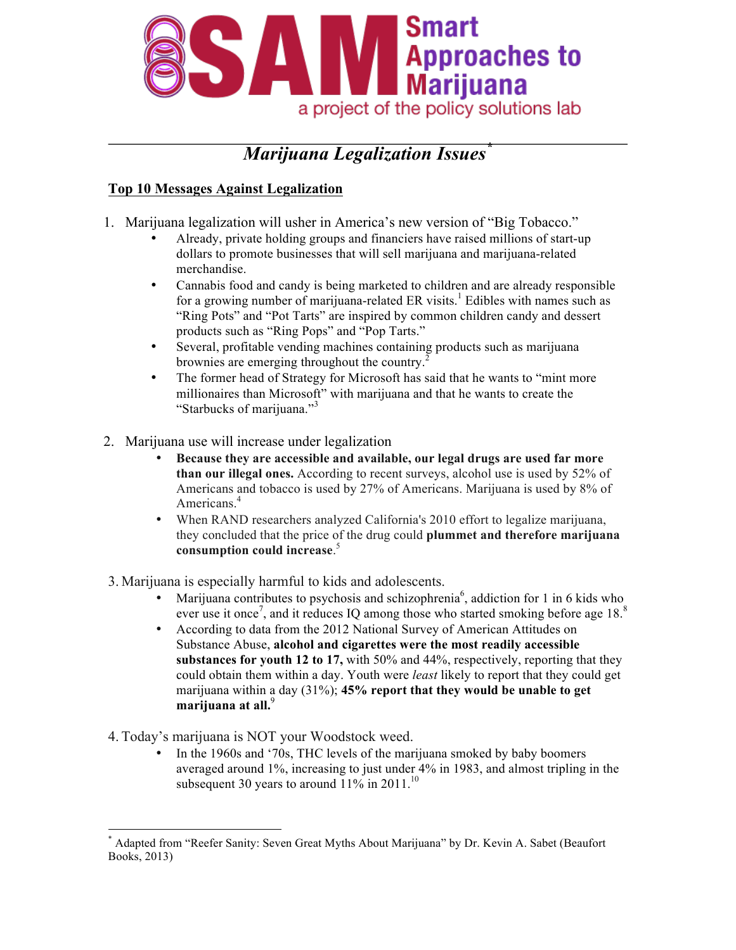

## *Marijuana Legalization Issues\**

## **Top 10 Messages Against Legalization**

- 1. Marijuana legalization will usher in America's new version of "Big Tobacco."
	- Already, private holding groups and financiers have raised millions of start-up dollars to promote businesses that will sell marijuana and marijuana-related merchandise.
	- Cannabis food and candy is being marketed to children and are already responsible for a growing number of marijuana-related ER visits.<sup>1</sup> Edibles with names such as "Ring Pots" and "Pot Tarts" are inspired by common children candy and dessert products such as "Ring Pops" and "Pop Tarts."
	- Several, profitable vending machines containing products such as marijuana brownies are emerging throughout the country.<sup>2</sup>
	- The former head of Strategy for Microsoft has said that he wants to "mint more" millionaires than Microsoft" with marijuana and that he wants to create the "Starbucks of marijuana."<sup>3</sup>
- 2. Marijuana use will increase under legalization
	- **Because they are accessible and available, our legal drugs are used far more than our illegal ones.** According to recent surveys, alcohol use is used by 52% of Americans and tobacco is used by 27% of Americans. Marijuana is used by 8% of Americans.<sup>4</sup>
	- When RAND researchers analyzed California's 2010 effort to legalize marijuana, they concluded that the price of the drug could **plummet and therefore marijuana consumption could increase**. 5

3. Marijuana is especially harmful to kids and adolescents.

- Marijuana contributes to psychosis and schizophrenia<sup>6</sup>, addiction for 1 in 6 kids who ever use it once<sup>7</sup>, and it reduces IQ among those who started smoking before age 18. $^8$
- According to data from the 2012 National Survey of American Attitudes on Substance Abuse, **alcohol and cigarettes were the most readily accessible substances for youth 12 to 17,** with 50% and 44%, respectively, reporting that they could obtain them within a day. Youth were *least* likely to report that they could get marijuana within a day (31%); **45% report that they would be unable to get**  marijuana at all.<sup>9</sup>
- 4. Today's marijuana is NOT your Woodstock weed.
	- In the 1960s and '70s, THC levels of the marijuana smoked by baby boomers averaged around 1%, increasing to just under 4% in 1983, and almost tripling in the subsequent 30 years to around  $11\%$  in 2011.<sup>10</sup>

 \* Adapted from "Reefer Sanity: Seven Great Myths About Marijuana" by Dr. Kevin A. Sabet (Beaufort Books, 2013)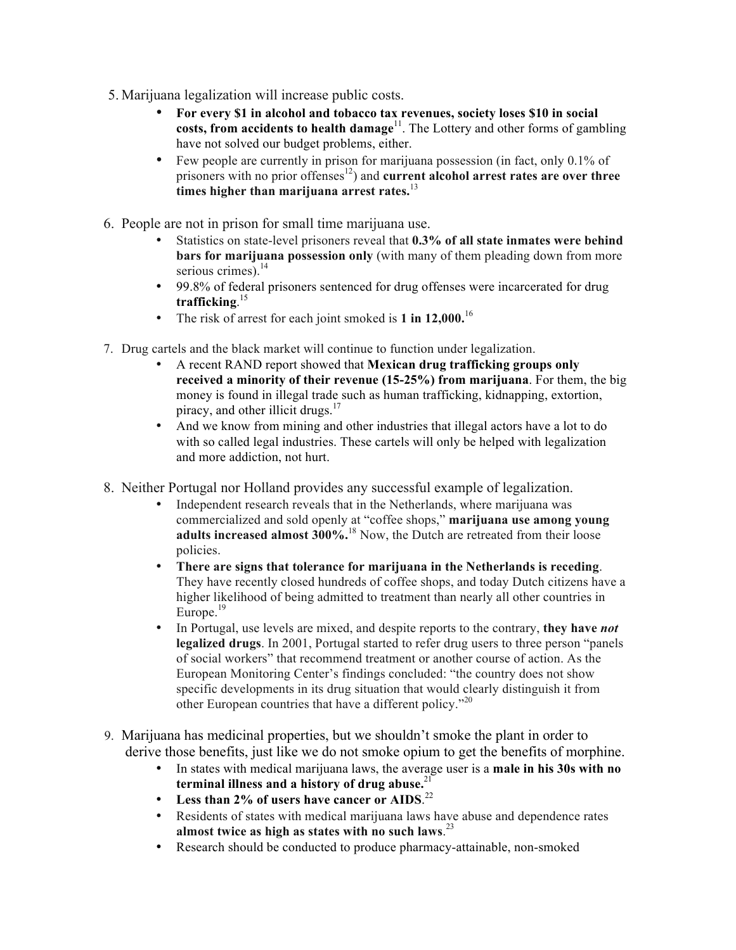- 5. Marijuana legalization will increase public costs.
	- **For every \$1 in alcohol and tobacco tax revenues, society loses \$10 in social costs, from accidents to health damage**<sup>11</sup>. The Lottery and other forms of gambling have not solved our budget problems, either.
	- Few people are currently in prison for marijuana possession (in fact, only 0.1% of prisoners with no prior offenses<sup>12</sup>) and **current alcohol arrest rates are over three times higher than marijuana arrest rates.**<sup>13</sup>
- 6. People are not in prison for small time marijuana use.
	- Statistics on state-level prisoners reveal that **0.3% of all state inmates were behind bars for marijuana possession only** (with many of them pleading down from more serious crimes). $^{14}$
	- 99.8% of federal prisoners sentenced for drug offenses were incarcerated for drug **trafficking**. 15
	- The risk of arrest for each joint smoked is **1 in 12,000.**<sup>16</sup>
- 7. Drug cartels and the black market will continue to function under legalization.
	- A recent RAND report showed that **Mexican drug trafficking groups only received a minority of their revenue (15-25%) from marijuana**. For them, the big money is found in illegal trade such as human trafficking, kidnapping, extortion, piracy, and other illicit drugs.<sup>17</sup>
	- And we know from mining and other industries that illegal actors have a lot to do with so called legal industries. These cartels will only be helped with legalization and more addiction, not hurt.
- 8. Neither Portugal nor Holland provides any successful example of legalization.
	- Independent research reveals that in the Netherlands, where marijuana was commercialized and sold openly at "coffee shops," **marijuana use among young**  adults increased almost 300%.<sup>18</sup> Now, the Dutch are retreated from their loose policies.
	- **There are signs that tolerance for marijuana in the Netherlands is receding**. They have recently closed hundreds of coffee shops, and today Dutch citizens have a higher likelihood of being admitted to treatment than nearly all other countries in Europe. $19$
	- In Portugal, use levels are mixed, and despite reports to the contrary, **they have** *not*  **legalized drugs**. In 2001, Portugal started to refer drug users to three person "panels of social workers" that recommend treatment or another course of action. As the European Monitoring Center's findings concluded: "the country does not show specific developments in its drug situation that would clearly distinguish it from other European countries that have a different policy."<sup>20</sup>
- 9. Marijuana has medicinal properties, but we shouldn't smoke the plant in order to derive those benefits, just like we do not smoke opium to get the benefits of morphine.
	- In states with medical marijuana laws, the average user is a **male in his 30s with no terminal illness and a history of drug abuse.**<sup>21</sup>
	- **Less than 2% of users have cancer or AIDS**. 22
	- Residents of states with medical marijuana laws have abuse and dependence rates **almost twice as high as states with no such laws**. 23
	- Research should be conducted to produce pharmacy-attainable, non-smoked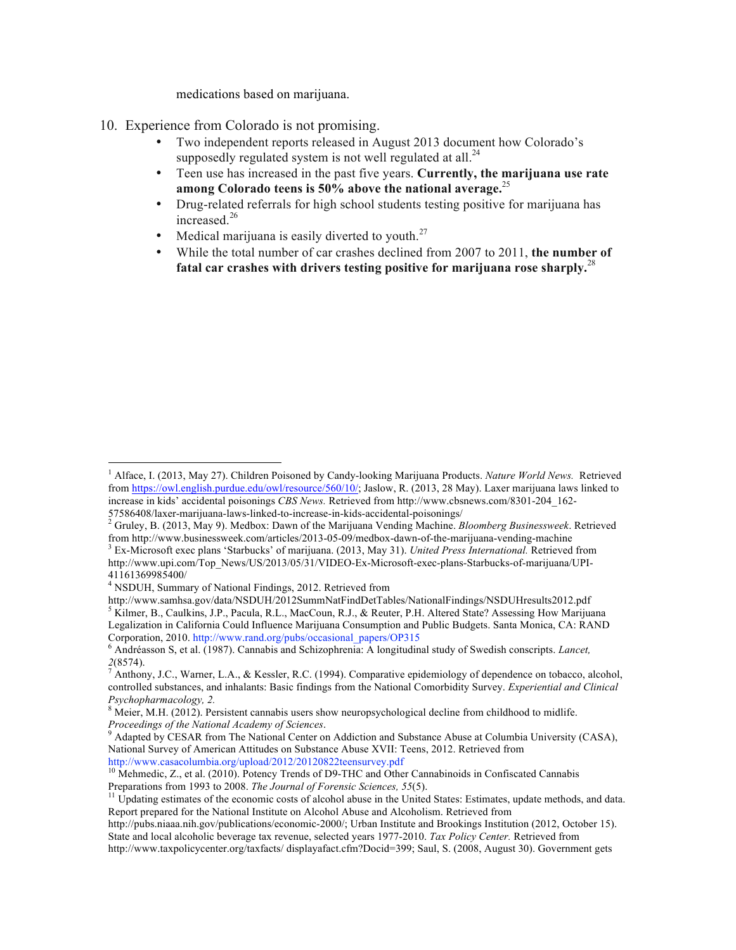medications based on marijuana.

- 10. Experience from Colorado is not promising.
	- Two independent reports released in August 2013 document how Colorado's supposedly regulated system is not well regulated at all. $^{24}$
	- Teen use has increased in the past five years. **Currently, the marijuana use rate among Colorado teens is 50% above the national average.**<sup>25</sup>
	- Drug-related referrals for high school students testing positive for marijuana has increased.<sup>26</sup>
	- Medical marijuana is easily diverted to youth. $27$
	- While the total number of car crashes declined from 2007 to 2011, **the number of fatal car crashes with drivers testing positive for marijuana rose sharply.**<sup>28</sup>

<sup>&</sup>lt;sup>1</sup> Alface, I. (2013, May 27). Children Poisoned by Candy-looking Marijuana Products. *Nature World News.* Retrieved from https://owl.english.purdue.edu/owl/resource/560/10/; Jaslow, R. (2013, 28 May). Laxer marijuana laws linked to increase in kids' accidental poisonings *CBS News.* Retrieved from http://www.cbsnews.com/8301-204\_162-

<sup>57586408/</sup>laxer-marijuana-laws-linked-to-increase-in-kids-accidental-poisonings/<br><sup>2</sup> Gruley, B. (2013, May 9). Medbox: Dawn of the Marijuana Vending Machine. *Bloomberg Businessweek*. Retrieved<br>from http://www.businessweek.

<sup>&</sup>lt;sup>3</sup> Ex-Microsoft exec plans 'Starbucks' of marijuana. (2013, May 31). *United Press International*. Retrieved from http://www.upi.com/Top\_News/US/2013/05/31/VIDEO-Ex-Microsoft-exec-plans-Starbucks-of-marijuana/UPI-41161369985400/

<sup>&</sup>lt;sup>4</sup> NSDUH, Summary of National Findings, 2012. Retrieved from

http://www.samhsa.gov/data/NSDUH/2012SummNatFindDetTables/NationalFindings/NSDUHresults2012.pdf <sup>5</sup> Kilmer, B., Caulkins, J.P., Pacula, R.L., MacCoun, R.J., & Reuter, P.H. Altered State? Assessing How Marijuana Legalization in California Could Influence Marijuana Consumption and Public Budgets. Santa Monica, CA: RAND

Corporation, 2010. http://www.rand.org/pubs/occasional\_papers/OP315 <sup>6</sup> Andréasson S, et al. (1987). Cannabis and Schizophrenia: A longitudinal study of Swedish conscripts. *Lancet, 2*(8574).

<sup>&</sup>lt;sup>7</sup> Anthony, J.C., Warner, L.A., & Kessler, R.C. (1994). Comparative epidemiology of dependence on tobacco, alcohol, controlled substances, and inhalants: Basic findings from the National Comorbidity Survey. *Experiential and Clinical Psychopharmacology, 2.* 

<sup>&</sup>lt;sup>8</sup> Meier, M.H. (2012). Persistent cannabis users show neuropsychological decline from childhood to midlife. *Proceedings of the National Academy of Sciences.* 9 Adapted by CESAR from The National Center on Addiction and Substance Abuse at Columbia University (CASA),

National Survey of American Attitudes on Substance Abuse XVII: Teens, 2012. Retrieved from http://www.casacolumbia.org/upload/2012/20120822teensurvey.pdf

<sup>&</sup>lt;sup>10</sup> Mehmedic, Z., et al. (2010). Potency Trends of D9-THC and Other Cannabinoids in Confiscated Cannabis Preparations from 1993 to 2008. *The Journal of Forensic Sciences*, 55(5).

<sup>&</sup>lt;sup>11</sup> Updating estimates of the economic costs of alcohol abuse in the United States: Estimates, update methods, and data. Report prepared for the National Institute on Alcohol Abuse and Alcoholism. Retrieved from

http://pubs.niaaa.nih.gov/publications/economic-2000/; Urban Institute and Brookings Institution (2012, October 15). State and local alcoholic beverage tax revenue, selected years 1977-2010. *Tax Policy Center.* Retrieved from http://www.taxpolicycenter.org/taxfacts/ displayafact.cfm?Docid=399; Saul, S. (2008, August 30). Government gets